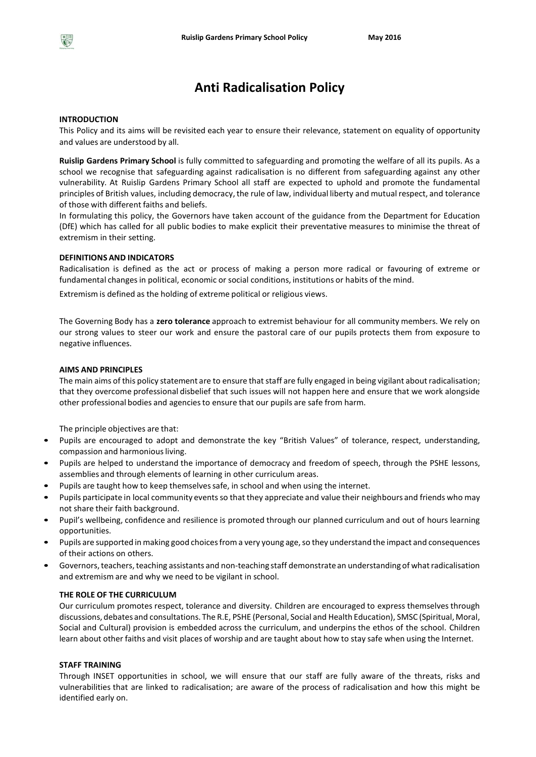# **Anti Radicalisation Policy**

#### **INTRODUCTION**

This Policy and its aims will be revisited each year to ensure their relevance, statement on equality of opportunity and values are understood by all.

**Ruislip Gardens Primary School** is fully committed to safeguarding and promoting the welfare of all its pupils. As a school we recognise that safeguarding against radicalisation is no different from safeguarding against any other vulnerability*.* At Ruislip Gardens Primary School all staff are expected to uphold and promote the fundamental principles of British values, including democracy, the rule of law, individual liberty and mutual respect, and tolerance of those with different faiths and beliefs.

In formulating this policy, the Governors have taken account of the guidance from the Department for Education (DfE) which has called for all public bodies to make explicit their preventative measures to minimise the threat of extremism in their setting.

# **DEFINITIONS AND INDICATORS**

Radicalisation is defined as the act or process of making a person more radical or favouring of extreme or fundamental changesin political, economic or social conditions, institutions or habits of the mind.

Extremism is defined as the holding of extreme political or religious views.

The Governing Body has a **zero tolerance** approach to extremist behaviour for all community members. We rely on our strong values to steer our work and ensure the pastoral care of our pupils protects them from exposure to negative influences.

#### **AIMS AND PRINCIPLES**

The main aims of this policy statement are to ensure that staff are fully engaged in being vigilant about radicalisation; that they overcome professional disbelief that such issues will not happen here and ensure that we work alongside other professional bodies and agenciesto ensure that our pupils are safe from harm.

The principle objectives are that:

- Pupils are encouraged to adopt and demonstrate the key "British Values" of tolerance, respect, understanding, compassion and harmonious living.
- Pupils are helped to understand the importance of democracy and freedom of speech, through the PSHE lessons, assemblies and through elements of learning in other curriculum areas.
- Pupils are taught how to keep themselves safe, in school and when using the internet.
- Pupils participate in local community eventsso that they appreciate and value their neighbours and friends who may not share their faith background.
- Pupil's wellbeing, confidence and resilience is promoted through our planned curriculum and out of hours learning opportunities.
- Pupils are supported in making good choices from a very young age, so they understand the impact and consequences of their actions on others.
- Governors, teachers, teaching assistants and non-teaching staff demonstrate an understanding of what radicalisation and extremism are and why we need to be vigilant in school.

# **THE ROLE OF THE CURRICULUM**

Our curriculum promotes respect, tolerance and diversity. Children are encouraged to express themselves through discussions, debates and consultations. The R.E, PSHE (Personal, Social and Health Education), SMSC (Spiritual, Moral, Social and Cultural) provision is embedded across the curriculum, and underpins the ethos of the school. Children learn about other faiths and visit places of worship and are taught about how to stay safe when using the Internet.

#### **STAFF TRAINING**

Through INSET opportunities in school, we will ensure that our staff are fully aware of the threats, risks and vulnerabilities that are linked to radicalisation; are aware of the process of radicalisation and how this might be identified early on.